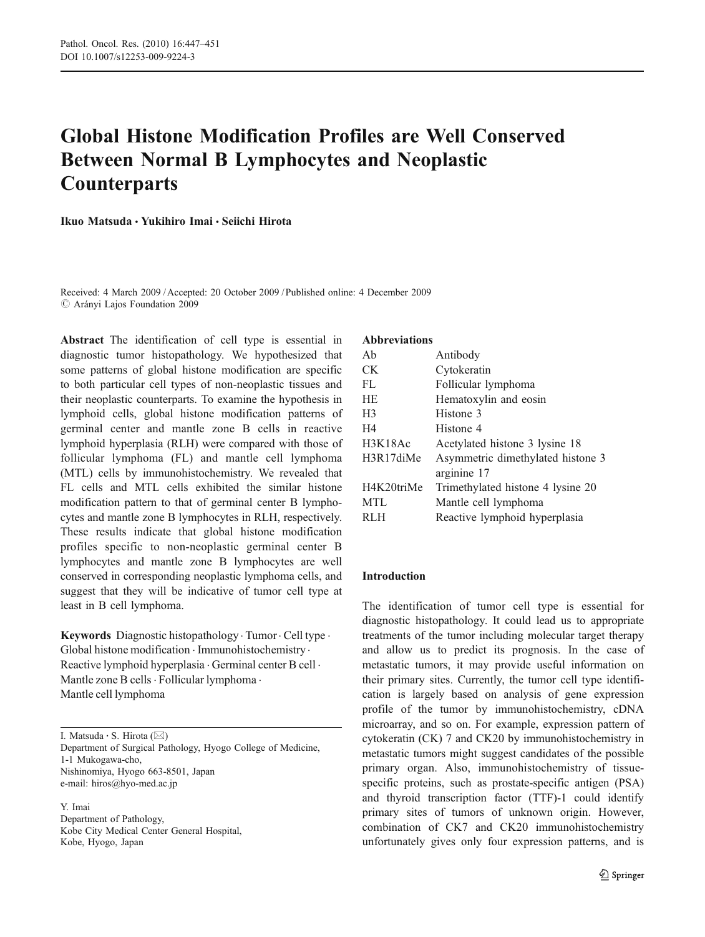# Global Histone Modification Profiles are Well Conserved Between Normal B Lymphocytes and Neoplastic **Counterparts**

Ikuo Matsuda & Yukihiro Imai & Seiichi Hirota

Received: 4 March 2009 /Accepted: 20 October 2009 / Published online: 4 December 2009  $\oslash$  Arányi Lajos Foundation 2009

Abstract The identification of cell type is essential in diagnostic tumor histopathology. We hypothesized that some patterns of global histone modification are specific to both particular cell types of non-neoplastic tissues and their neoplastic counterparts. To examine the hypothesis in lymphoid cells, global histone modification patterns of germinal center and mantle zone B cells in reactive lymphoid hyperplasia (RLH) were compared with those of follicular lymphoma (FL) and mantle cell lymphoma (MTL) cells by immunohistochemistry. We revealed that FL cells and MTL cells exhibited the similar histone modification pattern to that of germinal center B lymphocytes and mantle zone B lymphocytes in RLH, respectively. These results indicate that global histone modification profiles specific to non-neoplastic germinal center B lymphocytes and mantle zone B lymphocytes are well conserved in corresponding neoplastic lymphoma cells, and suggest that they will be indicative of tumor cell type at least in B cell lymphoma.

Keywords Diagnostic histopathology . Tumor . Cell type . Global histone modification . Immunohistochemistry . Reactive lymphoid hyperplasia . Germinal center B cell . Mantle zone B cells . Follicular lymphoma . Mantle cell lymphoma

I. Matsuda · S. Hirota (⊠)

Department of Surgical Pathology, Hyogo College of Medicine, 1-1 Mukogawa-cho, Nishinomiya, Hyogo 663-8501, Japan e-mail: hiros@hyo-med.ac.jp

Y. Imai Department of Pathology, Kobe City Medical Center General Hospital, Kobe, Hyogo, Japan

#### Abbreviations

| Ah             | Antibody                          |  |  |
|----------------|-----------------------------------|--|--|
| CK.            | Cytokeratin                       |  |  |
| FL             | Follicular lymphoma               |  |  |
| HE             | Hematoxylin and eosin             |  |  |
| H <sub>3</sub> | Histone 3                         |  |  |
| H4             | Histone 4                         |  |  |
| H3K18Ac        | Acetylated histone 3 lysine 18    |  |  |
| H3R17diMe      | Asymmetric dimethylated histone 3 |  |  |
|                | arginine 17                       |  |  |
| H4K20triMe     | Trimethylated histone 4 lysine 20 |  |  |
| <b>MTL</b>     | Mantle cell lymphoma              |  |  |
| RLH            | Reactive lymphoid hyperplasia     |  |  |

# Introduction

The identification of tumor cell type is essential for diagnostic histopathology. It could lead us to appropriate treatments of the tumor including molecular target therapy and allow us to predict its prognosis. In the case of metastatic tumors, it may provide useful information on their primary sites. Currently, the tumor cell type identification is largely based on analysis of gene expression profile of the tumor by immunohistochemistry, cDNA microarray, and so on. For example, expression pattern of cytokeratin (CK) 7 and CK20 by immunohistochemistry in metastatic tumors might suggest candidates of the possible primary organ. Also, immunohistochemistry of tissuespecific proteins, such as prostate-specific antigen (PSA) and thyroid transcription factor (TTF)-1 could identify primary sites of tumors of unknown origin. However, combination of CK7 and CK20 immunohistochemistry unfortunately gives only four expression patterns, and is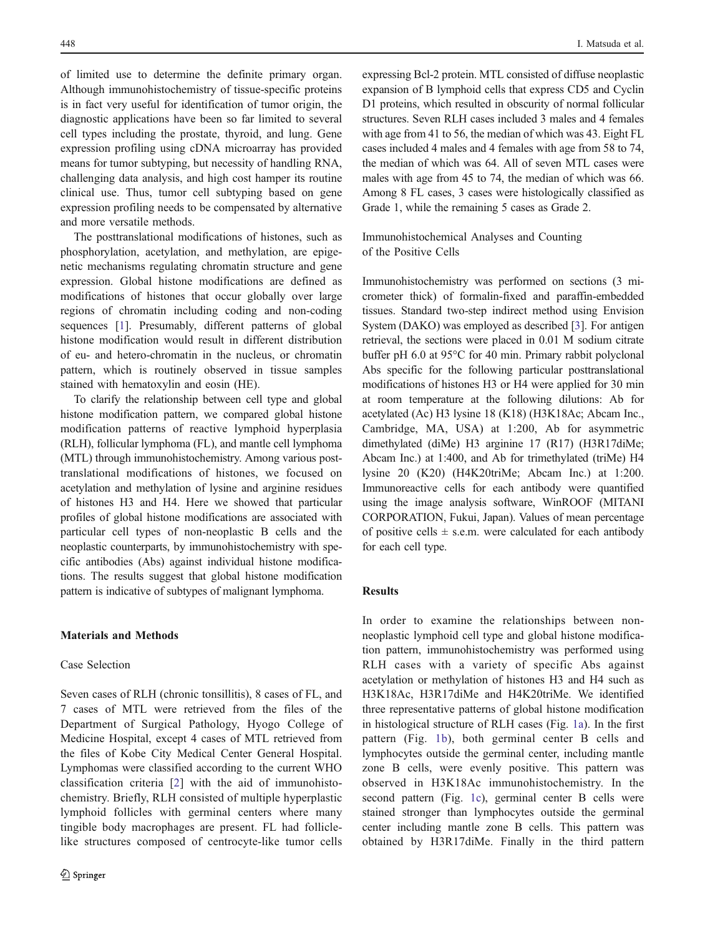of limited use to determine the definite primary organ. Although immunohistochemistry of tissue-specific proteins is in fact very useful for identification of tumor origin, the diagnostic applications have been so far limited to several cell types including the prostate, thyroid, and lung. Gene expression profiling using cDNA microarray has provided means for tumor subtyping, but necessity of handling RNA, challenging data analysis, and high cost hamper its routine clinical use. Thus, tumor cell subtyping based on gene expression profiling needs to be compensated by alternative and more versatile methods.

The posttranslational modifications of histones, such as phosphorylation, acetylation, and methylation, are epigenetic mechanisms regulating chromatin structure and gene expression. Global histone modifications are defined as modifications of histones that occur globally over large regions of chromatin including coding and non-coding sequences [[1\]](#page-4-0). Presumably, different patterns of global histone modification would result in different distribution of eu- and hetero-chromatin in the nucleus, or chromatin pattern, which is routinely observed in tissue samples stained with hematoxylin and eosin (HE).

To clarify the relationship between cell type and global histone modification pattern, we compared global histone modification patterns of reactive lymphoid hyperplasia (RLH), follicular lymphoma (FL), and mantle cell lymphoma (MTL) through immunohistochemistry. Among various posttranslational modifications of histones, we focused on acetylation and methylation of lysine and arginine residues of histones H3 and H4. Here we showed that particular profiles of global histone modifications are associated with particular cell types of non-neoplastic B cells and the neoplastic counterparts, by immunohistochemistry with specific antibodies (Abs) against individual histone modifications. The results suggest that global histone modification pattern is indicative of subtypes of malignant lymphoma.

## Materials and Methods

### Case Selection

Seven cases of RLH (chronic tonsillitis), 8 cases of FL, and 7 cases of MTL were retrieved from the files of the Department of Surgical Pathology, Hyogo College of Medicine Hospital, except 4 cases of MTL retrieved from the files of Kobe City Medical Center General Hospital. Lymphomas were classified according to the current WHO classification criteria [[2\]](#page-4-0) with the aid of immunohistochemistry. Briefly, RLH consisted of multiple hyperplastic lymphoid follicles with germinal centers where many tingible body macrophages are present. FL had folliclelike structures composed of centrocyte-like tumor cells

expressing Bcl-2 protein. MTL consisted of diffuse neoplastic expansion of B lymphoid cells that express CD5 and Cyclin D1 proteins, which resulted in obscurity of normal follicular structures. Seven RLH cases included 3 males and 4 females with age from 41 to 56, the median of which was 43. Eight FL cases included 4 males and 4 females with age from 58 to 74, the median of which was 64. All of seven MTL cases were males with age from 45 to 74, the median of which was 66. Among 8 FL cases, 3 cases were histologically classified as Grade 1, while the remaining 5 cases as Grade 2.

Immunohistochemical Analyses and Counting of the Positive Cells

Immunohistochemistry was performed on sections (3 micrometer thick) of formalin-fixed and paraffin-embedded tissues. Standard two-step indirect method using Envision System (DAKO) was employed as described [[3\]](#page-4-0). For antigen retrieval, the sections were placed in 0.01 M sodium citrate buffer pH 6.0 at 95°C for 40 min. Primary rabbit polyclonal Abs specific for the following particular posttranslational modifications of histones H3 or H4 were applied for 30 min at room temperature at the following dilutions: Ab for acetylated (Ac) H3 lysine 18 (K18) (H3K18Ac; Abcam Inc., Cambridge, MA, USA) at 1:200, Ab for asymmetric dimethylated (diMe) H3 arginine 17 (R17) (H3R17diMe; Abcam Inc.) at 1:400, and Ab for trimethylated (triMe) H4 lysine 20 (K20) (H4K20triMe; Abcam Inc.) at 1:200. Immunoreactive cells for each antibody were quantified using the image analysis software, WinROOF (MITANI CORPORATION, Fukui, Japan). Values of mean percentage of positive cells  $\pm$  s.e.m. were calculated for each antibody for each cell type.

# Results

In order to examine the relationships between nonneoplastic lymphoid cell type and global histone modification pattern, immunohistochemistry was performed using RLH cases with a variety of specific Abs against acetylation or methylation of histones H3 and H4 such as H3K18Ac, H3R17diMe and H4K20triMe. We identified three representative patterns of global histone modification in histological structure of RLH cases (Fig. [1a](#page-2-0)). In the first pattern (Fig. [1b](#page-2-0)), both germinal center B cells and lymphocytes outside the germinal center, including mantle zone B cells, were evenly positive. This pattern was observed in H3K18Ac immunohistochemistry. In the second pattern (Fig. [1c\)](#page-2-0), germinal center B cells were stained stronger than lymphocytes outside the germinal center including mantle zone B cells. This pattern was obtained by H3R17diMe. Finally in the third pattern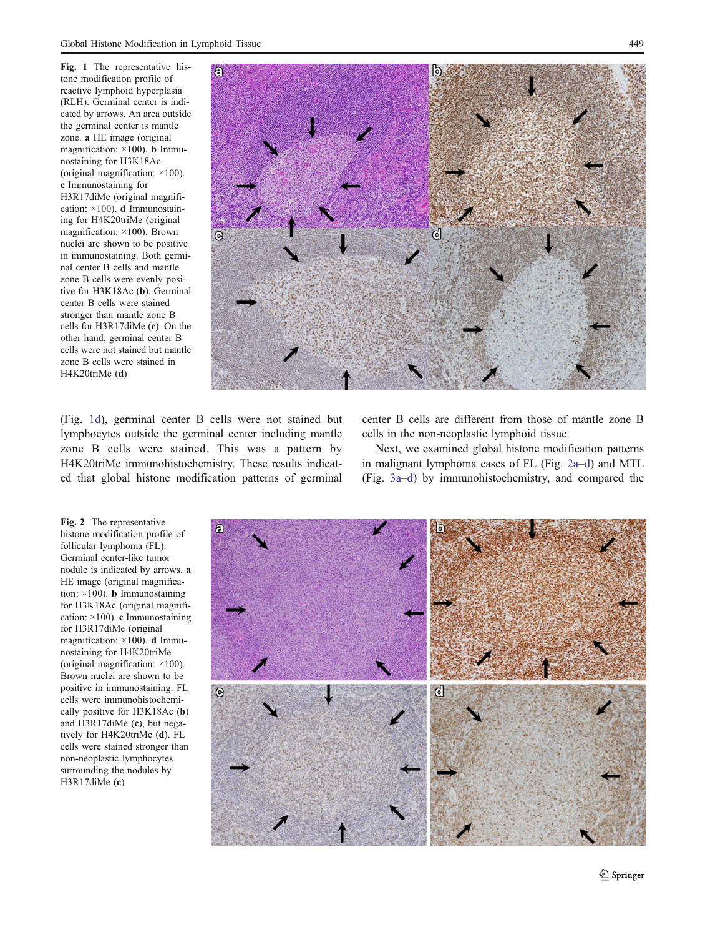<span id="page-2-0"></span>Fig. 1 The representative histone modification profile of reactive lymphoid hyperplasia (RLH). Germinal center is indicated by arrows. An area outside the germinal center is mantle zone. a HE image (original magnification:  $\times$ 100). **b** Immunostaining for H3K18Ac (original magnification: ×100). c Immunostaining for H3R17diMe (original magnification: ×100). d Immunostaining for H4K20triMe (original magnification: ×100). Brown nuclei are shown to be positive in immunostaining. Both germinal center B cells and mantle zone B cells were evenly positive for H3K18Ac (b). Germinal center B cells were stained stronger than mantle zone B cells for H3R17diMe (c). On the other hand, germinal center B cells were not stained but mantle zone B cells were stained in H4K20triMe (d)



(Fig. 1d), germinal center B cells were not stained but lymphocytes outside the germinal center including mantle zone B cells were stained. This was a pattern by H4K20triMe immunohistochemistry. These results indicated that global histone modification patterns of germinal

center B cells are different from those of mantle zone B cells in the non-neoplastic lymphoid tissue.

Next, we examined global histone modification patterns in malignant lymphoma cases of FL (Fig. 2a–d) and MTL (Fig. [3a](#page-3-0)–[d](#page-3-0)) by immunohistochemistry, and compared the

Fig. 2 The representative histone modification profile of follicular lymphoma (FL). Germinal center-like tumor nodule is indicated by arrows. a HE image (original magnification:  $\times$ 100). **b** Immunostaining for H3K18Ac (original magnification:  $\times$ 100). c Immunostaining for H3R17diMe (original magnification:  $\times$ 100). **d** Immunostaining for H4K20triMe (original magnification: ×100). Brown nuclei are shown to be positive in immunostaining. FL cells were immunohistochemically positive for H3K18Ac (b) and H3R17diMe (c), but negatively for H4K20triMe (d). FL cells were stained stronger than non-neoplastic lymphocytes surrounding the nodules by H3R17diMe (c)

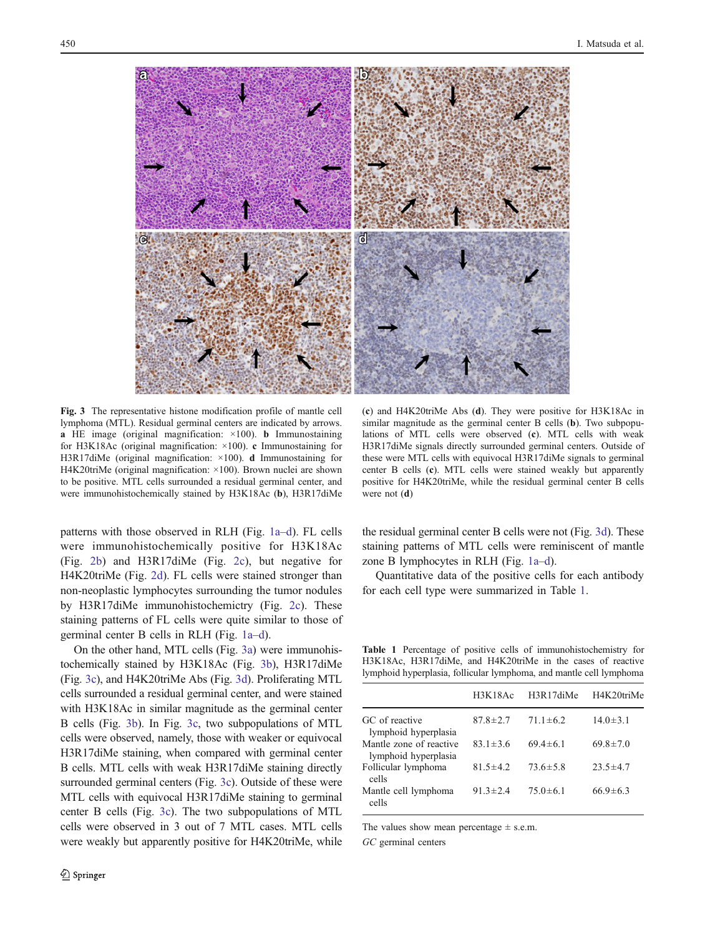<span id="page-3-0"></span>

Fig. 3 The representative histone modification profile of mantle cell lymphoma (MTL). Residual germinal centers are indicated by arrows. **a** HE image (original magnification:  $\times$ 100). **b** Immunostaining for H3K18Ac (original magnification: ×100). c Immunostaining for H3R17diMe (original magnification: ×100). d Immunostaining for H4K20triMe (original magnification: ×100). Brown nuclei are shown to be positive. MTL cells surrounded a residual germinal center, and were immunohistochemically stained by H3K18Ac (b), H3R17diMe

patterns with those observed in RLH (Fig. [1a](#page-2-0)–[d\)](#page-2-0). FL cells were immunohistochemically positive for H3K18Ac (Fig. [2b](#page-2-0)) and H3R17diMe (Fig. [2c\)](#page-2-0), but negative for H4K20triMe (Fig. [2d\)](#page-2-0). FL cells were stained stronger than non-neoplastic lymphocytes surrounding the tumor nodules by H3R17diMe immunohistochemictry (Fig. [2c\)](#page-2-0). These staining patterns of FL cells were quite similar to those of germinal center B cells in RLH (Fig. [1a](#page-2-0)–[d\)](#page-2-0).

On the other hand, MTL cells (Fig. 3a) were immunohistochemically stained by H3K18Ac (Fig. 3b), H3R17diMe (Fig. 3c), and H4K20triMe Abs (Fig. 3d). Proliferating MTL cells surrounded a residual germinal center, and were stained with H3K18Ac in similar magnitude as the germinal center B cells (Fig. 3b). In Fig. 3c, two subpopulations of MTL cells were observed, namely, those with weaker or equivocal H3R17diMe staining, when compared with germinal center B cells. MTL cells with weak H3R17diMe staining directly surrounded germinal centers (Fig. 3c). Outside of these were MTL cells with equivocal H3R17diMe staining to germinal center B cells (Fig. 3c). The two subpopulations of MTL cells were observed in 3 out of 7 MTL cases. MTL cells were weakly but apparently positive for H4K20triMe, while

(c) and H4K20triMe Abs (d). They were positive for H3K18Ac in similar magnitude as the germinal center B cells (b). Two subpopulations of MTL cells were observed (c). MTL cells with weak H3R17diMe signals directly surrounded germinal centers. Outside of these were MTL cells with equivocal H3R17diMe signals to germinal center B cells (c). MTL cells were stained weakly but apparently positive for H4K20triMe, while the residual germinal center B cells were not (d)

the residual germinal center B cells were not (Fig. 3d). These staining patterns of MTL cells were reminiscent of mantle zone B lymphocytes in RLH (Fig. [1a](#page-2-0)–[d\)](#page-2-0).

Quantitative data of the positive cells for each antibody for each cell type were summarized in Table 1.

Table 1 Percentage of positive cells of immunohistochemistry for H3K18Ac, H3R17diMe, and H4K20triMe in the cases of reactive lymphoid hyperplasia, follicular lymphoma, and mantle cell lymphoma

|                                                 | H3K18Ac        | H3R17diMe      | H4K20triMe     |
|-------------------------------------------------|----------------|----------------|----------------|
| GC of reactive<br>lymphoid hyperplasia          | $87.8 \pm 2.7$ | $71.1 \pm 6.2$ | $14.0 \pm 3.1$ |
| Mantle zone of reactive<br>lymphoid hyperplasia | $83.1 \pm 3.6$ | $69.4 \pm 6.1$ | $69.8 \pm 7.0$ |
| Follicular lymphoma<br>cells                    | $81.5 \pm 4.2$ | $73.6 \pm 5.8$ | $23.5 \pm 4.7$ |
| Mantle cell lymphoma<br>cells                   | $91.3 \pm 2.4$ | $75.0 \pm 6.1$ | $66.9 \pm 6.3$ |

The values show mean percentage  $\pm$  s.e.m.

GC germinal centers